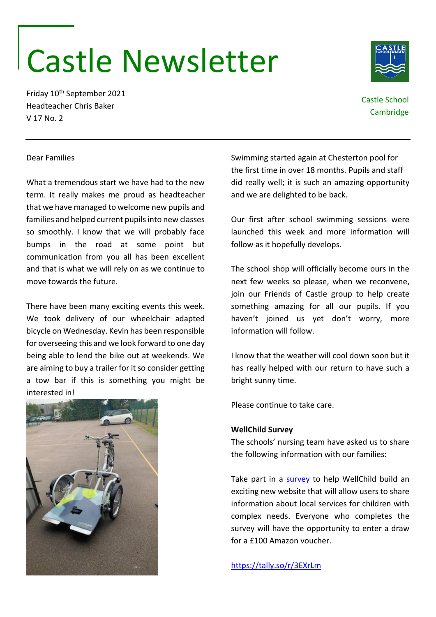## Castle Newsletter

Friday 10th September 2021 Headteacher Chris Baker V 17 No. 2

> Swimming started again at Chesterton pool for the first time in over 18 months. Pupils and staff did really well; it is such an amazing opportunity and we are delighted to be back.

> Our first after school swimming sessions were launched this week and more information will follow as it hopefully develops.

> The school shop will officially become ours in the next few weeks so please, when we reconvene, join our Friends of Castle group to help create something amazing for all our pupils. If you haven't joined us yet don't worry, more information will follow.

> I know that the weather will cool down soon but it has really helped with our return to have such a bright sunny time.

Please continue to take care.

## **WellChild Survey**

The schools' nursing team have asked us to share the following information with our families:

Take part in a [survey](https://tally.so/r/3EXrLm) to help WellChild build an exciting new website that will allow users to share information about local services for children with complex needs. Everyone who completes the survey will have the opportunity to enter a draw for a £100 Amazon voucher.

<https://tally.so/r/3EXrLm>











What a tremendous start we have had to the new term. It really makes me proud as headteacher that we have managed to welcome new pupils and families and helped current pupils into new classes so smoothly. I know that we will probably face bumps in the road at some point but communication from you all has been excellent and that is what we will rely on as we continue to move towards the future.

There have been many exciting events this week. We took delivery of our wheelchair adapted bicycle on Wednesday. Kevin has been responsible for overseeing this and we look forward to one day being able to lend the bike out at weekends. We are aiming to buy a trailer for it so consider getting a tow bar if this is something you might be interested in!